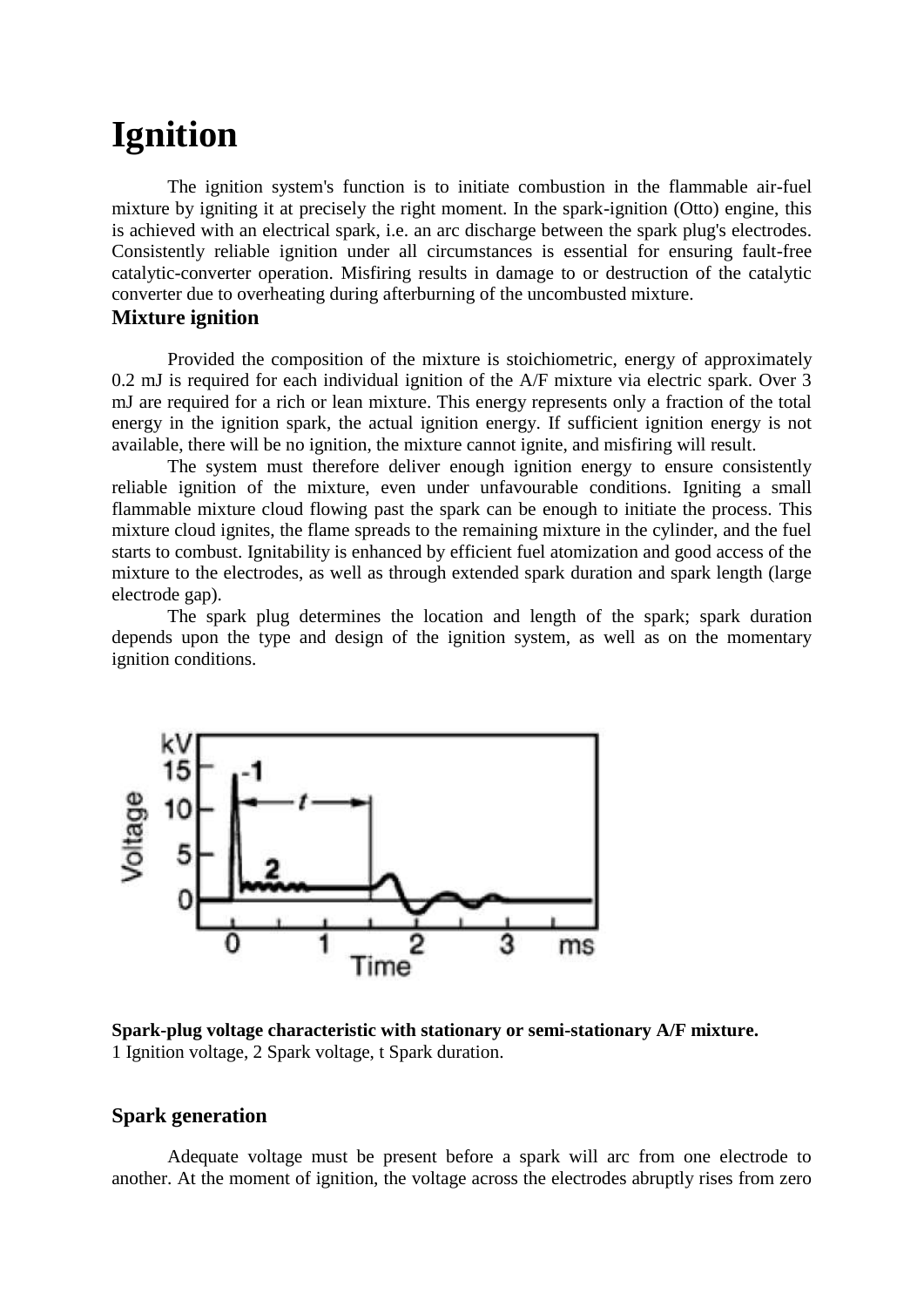# **Ignition**

The ignition system's function is to initiate combustion in the flammable air-fuel mixture by igniting it at precisely the right moment. In the spark-ignition (Otto) engine, this is achieved with an electrical spark, i.e. an arc discharge between the spark plug's electrodes. Consistently reliable ignition under all circumstances is essential for ensuring fault-free catalytic-converter operation. Misfiring results in damage to or destruction of the catalytic converter due to overheating during afterburning of the uncombusted mixture.

## **Mixture ignition**

Provided the composition of the mixture is stoichiometric, energy of approximately 0.2 mJ is required for each individual ignition of the A/F mixture via electric spark. Over 3 mJ are required for a rich or lean mixture. This energy represents only a fraction of the total energy in the ignition spark, the actual ignition energy. If sufficient ignition energy is not available, there will be no ignition, the mixture cannot ignite, and misfiring will result.

The system must therefore deliver enough ignition energy to ensure consistently reliable ignition of the mixture, even under unfavourable conditions. Igniting a small flammable mixture cloud flowing past the spark can be enough to initiate the process. This mixture cloud ignites, the flame spreads to the remaining mixture in the cylinder, and the fuel starts to combust. Ignitability is enhanced by efficient fuel atomization and good access of the mixture to the electrodes, as well as through extended spark duration and spark length (large electrode gap).

The spark plug determines the location and length of the spark; spark duration depends upon the type and design of the ignition system, as well as on the momentary ignition conditions.



**Spark-plug voltage characteristic with stationary or semi-stationary A/F mixture.** 1 Ignition voltage, 2 Spark voltage, t Spark duration.

## **Spark generation**

Adequate voltage must be present before a spark will arc from one electrode to another. At the moment of ignition, the voltage across the electrodes abruptly rises from zero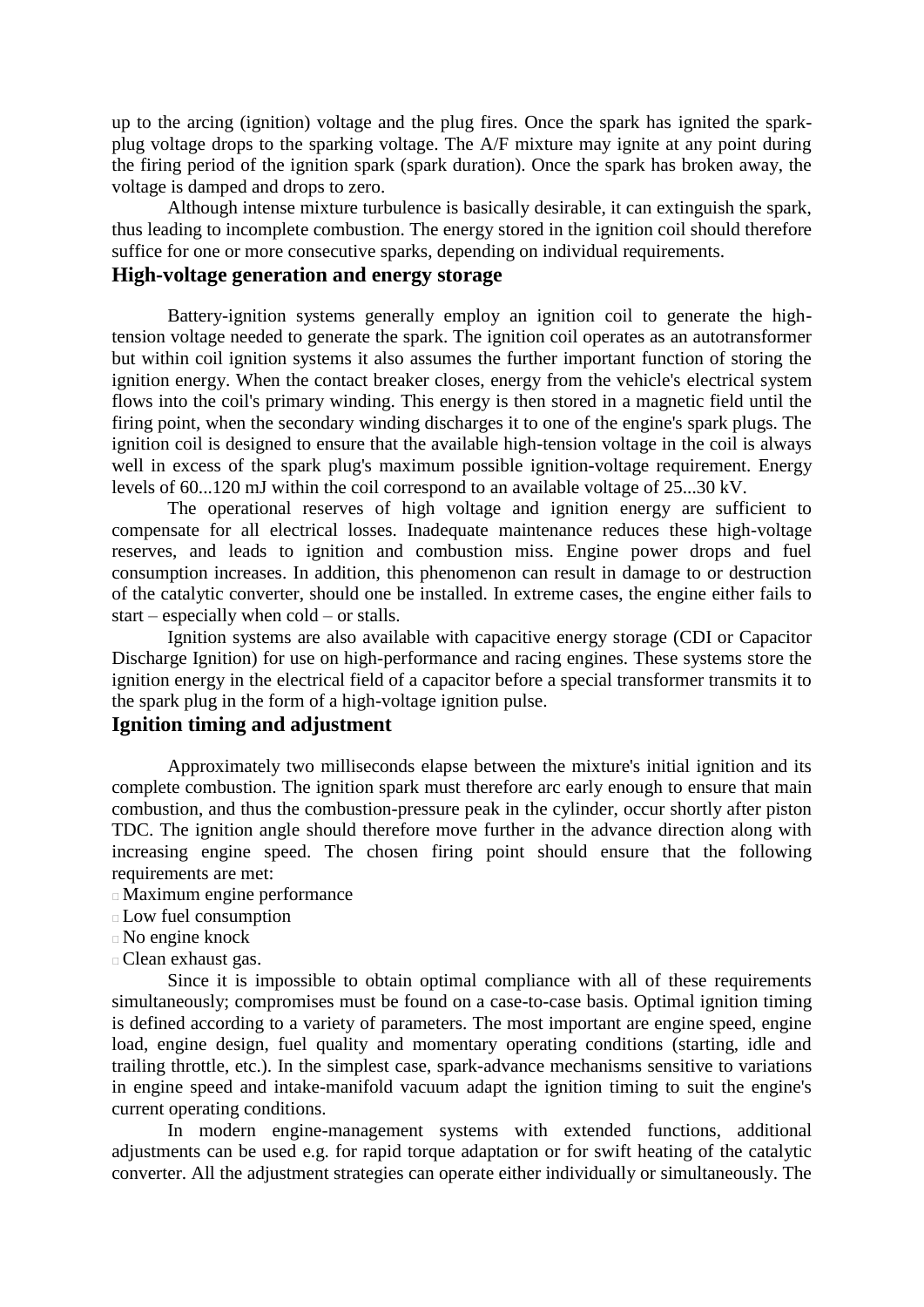up to the arcing (ignition) voltage and the plug fires. Once the spark has ignited the sparkplug voltage drops to the sparking voltage. The A/F mixture may ignite at any point during the firing period of the ignition spark (spark duration). Once the spark has broken away, the voltage is damped and drops to zero.

Although intense mixture turbulence is basically desirable, it can extinguish the spark, thus leading to incomplete combustion. The energy stored in the ignition coil should therefore suffice for one or more consecutive sparks, depending on individual requirements.

## **High-voltage generation and energy storage**

Battery-ignition systems generally employ an ignition coil to generate the hightension voltage needed to generate the spark. The ignition coil operates as an autotransformer but within coil ignition systems it also assumes the further important function of storing the ignition energy. When the contact breaker closes, energy from the vehicle's electrical system flows into the coil's primary winding. This energy is then stored in a magnetic field until the firing point, when the secondary winding discharges it to one of the engine's spark plugs. The ignition coil is designed to ensure that the available high-tension voltage in the coil is always well in excess of the spark plug's maximum possible ignition-voltage requirement. Energy levels of 60...120 mJ within the coil correspond to an available voltage of 25...30 kV.

The operational reserves of high voltage and ignition energy are sufficient to compensate for all electrical losses. Inadequate maintenance reduces these high-voltage reserves, and leads to ignition and combustion miss. Engine power drops and fuel consumption increases. In addition, this phenomenon can result in damage to or destruction of the catalytic converter, should one be installed. In extreme cases, the engine either fails to start – especially when cold – or stalls.

Ignition systems are also available with capacitive energy storage (CDI or Capacitor Discharge Ignition) for use on high-performance and racing engines. These systems store the ignition energy in the electrical field of a capacitor before a special transformer transmits it to the spark plug in the form of a high-voltage ignition pulse.

## **Ignition timing and adjustment**

Approximately two milliseconds elapse between the mixture's initial ignition and its complete combustion. The ignition spark must therefore arc early enough to ensure that main combustion, and thus the combustion-pressure peak in the cylinder, occur shortly after piston TDC. The ignition angle should therefore move further in the advance direction along with increasing engine speed. The chosen firing point should ensure that the following requirements are met:

- Maximum engine performance
- Low fuel consumption
- No engine knock
- Clean exhaust gas.

Since it is impossible to obtain optimal compliance with all of these requirements simultaneously; compromises must be found on a case-to-case basis. Optimal ignition timing is defined according to a variety of parameters. The most important are engine speed, engine load, engine design, fuel quality and momentary operating conditions (starting, idle and trailing throttle, etc.). In the simplest case, spark-advance mechanisms sensitive to variations in engine speed and intake-manifold vacuum adapt the ignition timing to suit the engine's current operating conditions.

In modern engine-management systems with extended functions, additional adjustments can be used e.g. for rapid torque adaptation or for swift heating of the catalytic converter. All the adjustment strategies can operate either individually or simultaneously. The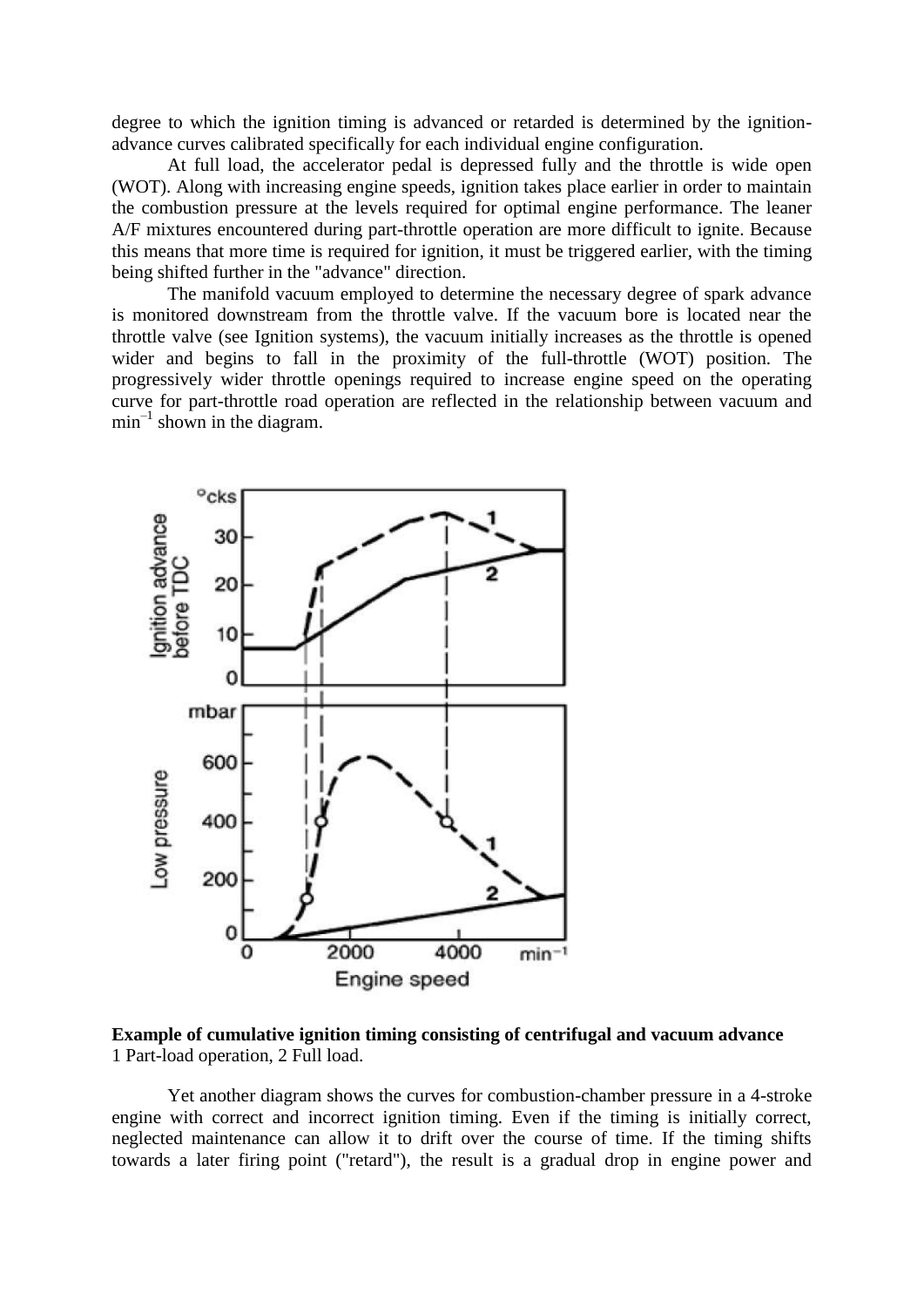degree to which the ignition timing is advanced or retarded is determined by the ignitionadvance curves calibrated specifically for each individual engine configuration.

At full load, the accelerator pedal is depressed fully and the throttle is wide open (WOT). Along with increasing engine speeds, ignition takes place earlier in order to maintain the combustion pressure at the levels required for optimal engine performance. The leaner A/F mixtures encountered during part-throttle operation are more difficult to ignite. Because this means that more time is required for ignition, it must be triggered earlier, with the timing being shifted further in the "advance" direction.

The manifold vacuum employed to determine the necessary degree of spark advance is monitored downstream from the throttle valve. If the vacuum bore is located near the throttle valve (see Ignition systems), the vacuum initially increases as the throttle is opened wider and begins to fall in the proximity of the full-throttle (WOT) position. The progressively wider throttle openings required to increase engine speed on the operating curve for part-throttle road operation are reflected in the relationship between vacuum and  $min^{-1}$  shown in the diagram.



**Example of cumulative ignition timing consisting of centrifugal and vacuum advance** 1 Part-load operation, 2 Full load.

Yet another diagram shows the curves for combustion-chamber pressure in a 4-stroke engine with correct and incorrect ignition timing. Even if the timing is initially correct, neglected maintenance can allow it to drift over the course of time. If the timing shifts towards a later firing point ("retard"), the result is a gradual drop in engine power and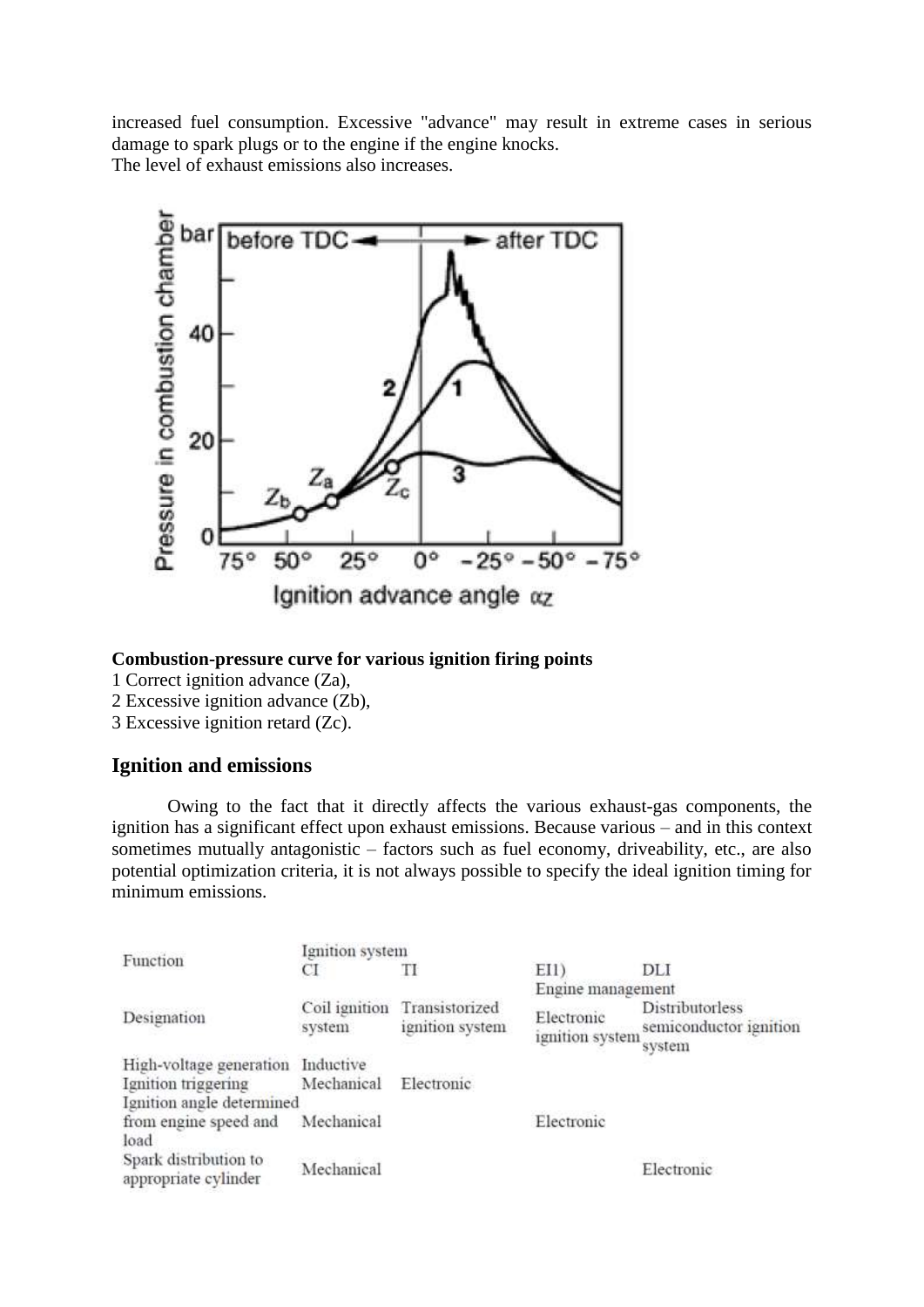increased fuel consumption. Excessive "advance" may result in extreme cases in serious damage to spark plugs or to the engine if the engine knocks. The level of exhaust emissions also increases.

Pressure in combustion chamber bar before TDC after TDC 40 20 3 C  $0^{\circ}$  $25^\circ$ 75°  $50^\circ$  $-25^{\circ} - 50^{\circ}$  $-75^{\circ}$ Ignition advance angle az

## **Combustion-pressure curve for various ignition firing points**

- 1 Correct ignition advance (Za),
- 2 Excessive ignition advance (Zb),
- 3 Excessive ignition retard (Zc).

## **Ignition and emissions**

Owing to the fact that it directly affects the various exhaust-gas components, the ignition has a significant effect upon exhaust emissions. Because various – and in this context sometimes mutually antagonistic – factors such as fuel economy, driveability, etc., are also potential optimization criteria, it is not always possible to specify the ideal ignition timing for minimum emissions.

| Function                                      | Ignition system         |                                   |                               |                                                            |
|-----------------------------------------------|-------------------------|-----------------------------------|-------------------------------|------------------------------------------------------------|
|                                               | СI                      |                                   | EI1)                          | DLI                                                        |
|                                               |                         |                                   | Engine management             |                                                            |
| Designation                                   | Coil ignition<br>system | Transistorized<br>ignition system | Electronic<br>ignition system | <b>Distributorless</b><br>semiconductor ignition<br>system |
| High-voltage generation Inductive             |                         |                                   |                               |                                                            |
| Ignition triggering                           | Mechanical              | Electronic                        |                               |                                                            |
| Ignition angle determined                     |                         |                                   |                               |                                                            |
| from engine speed and<br>load                 | Mechanical              |                                   | Electronic                    |                                                            |
| Spark distribution to<br>appropriate cylinder | Mechanical              |                                   |                               | Electronic                                                 |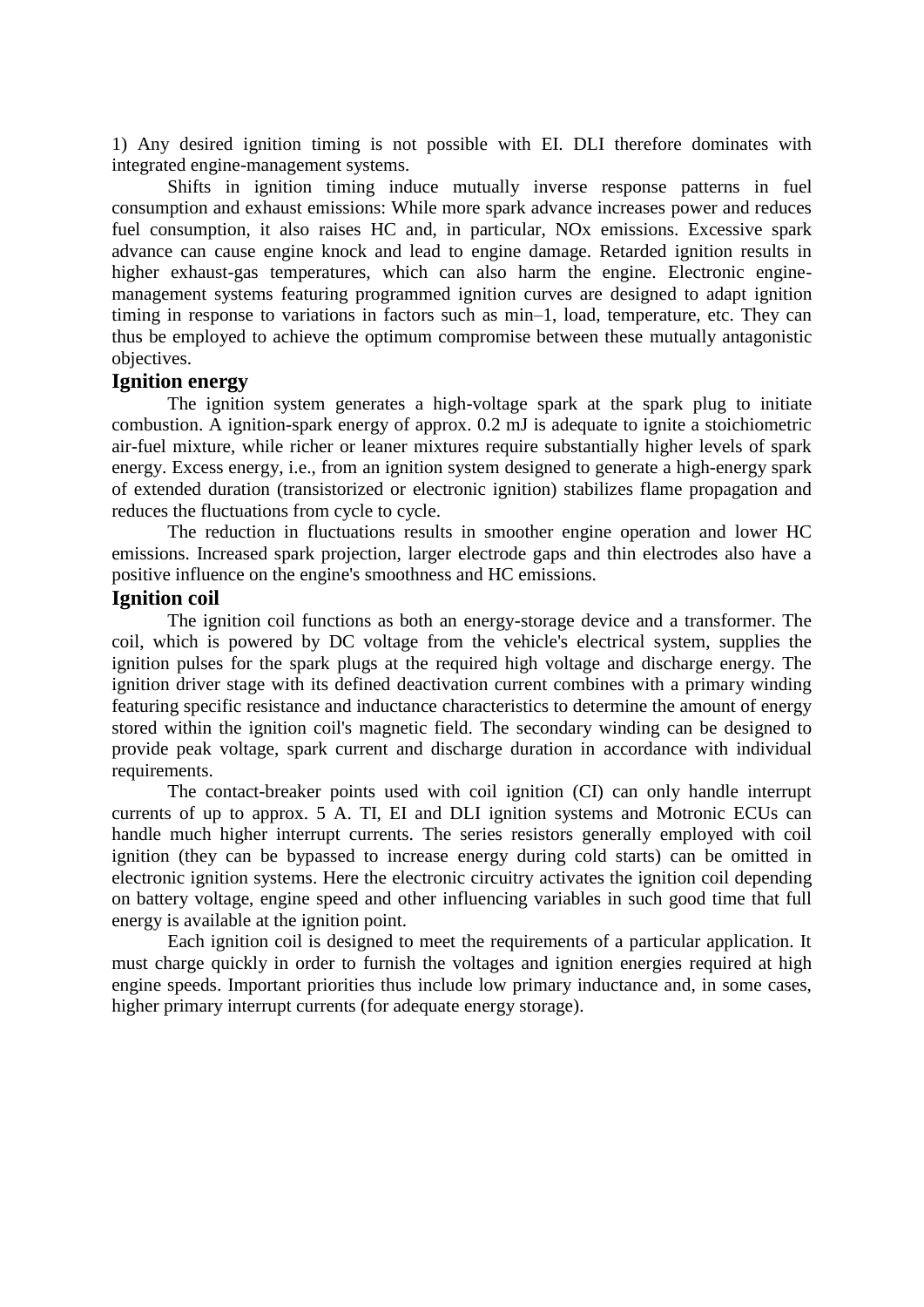1) Any desired ignition timing is not possible with EI. DLI therefore dominates with integrated engine-management systems.

Shifts in ignition timing induce mutually inverse response patterns in fuel consumption and exhaust emissions: While more spark advance increases power and reduces fuel consumption, it also raises HC and, in particular, NOx emissions. Excessive spark advance can cause engine knock and lead to engine damage. Retarded ignition results in higher exhaust-gas temperatures, which can also harm the engine. Electronic enginemanagement systems featuring programmed ignition curves are designed to adapt ignition timing in response to variations in factors such as min–1, load, temperature, etc. They can thus be employed to achieve the optimum compromise between these mutually antagonistic objectives.

## **Ignition energy**

The ignition system generates a high-voltage spark at the spark plug to initiate combustion. A ignition-spark energy of approx. 0.2 mJ is adequate to ignite a stoichiometric air-fuel mixture, while richer or leaner mixtures require substantially higher levels of spark energy. Excess energy, i.e., from an ignition system designed to generate a high-energy spark of extended duration (transistorized or electronic ignition) stabilizes flame propagation and reduces the fluctuations from cycle to cycle.

The reduction in fluctuations results in smoother engine operation and lower HC emissions. Increased spark projection, larger electrode gaps and thin electrodes also have a positive influence on the engine's smoothness and HC emissions.

#### **Ignition coil**

The ignition coil functions as both an energy-storage device and a transformer. The coil, which is powered by DC voltage from the vehicle's electrical system, supplies the ignition pulses for the spark plugs at the required high voltage and discharge energy. The ignition driver stage with its defined deactivation current combines with a primary winding featuring specific resistance and inductance characteristics to determine the amount of energy stored within the ignition coil's magnetic field. The secondary winding can be designed to provide peak voltage, spark current and discharge duration in accordance with individual requirements.

The contact-breaker points used with coil ignition (CI) can only handle interrupt currents of up to approx. 5 A. TI, EI and DLI ignition systems and Motronic ECUs can handle much higher interrupt currents. The series resistors generally employed with coil ignition (they can be bypassed to increase energy during cold starts) can be omitted in electronic ignition systems. Here the electronic circuitry activates the ignition coil depending on battery voltage, engine speed and other influencing variables in such good time that full energy is available at the ignition point.

Each ignition coil is designed to meet the requirements of a particular application. It must charge quickly in order to furnish the voltages and ignition energies required at high engine speeds. Important priorities thus include low primary inductance and, in some cases, higher primary interrupt currents (for adequate energy storage).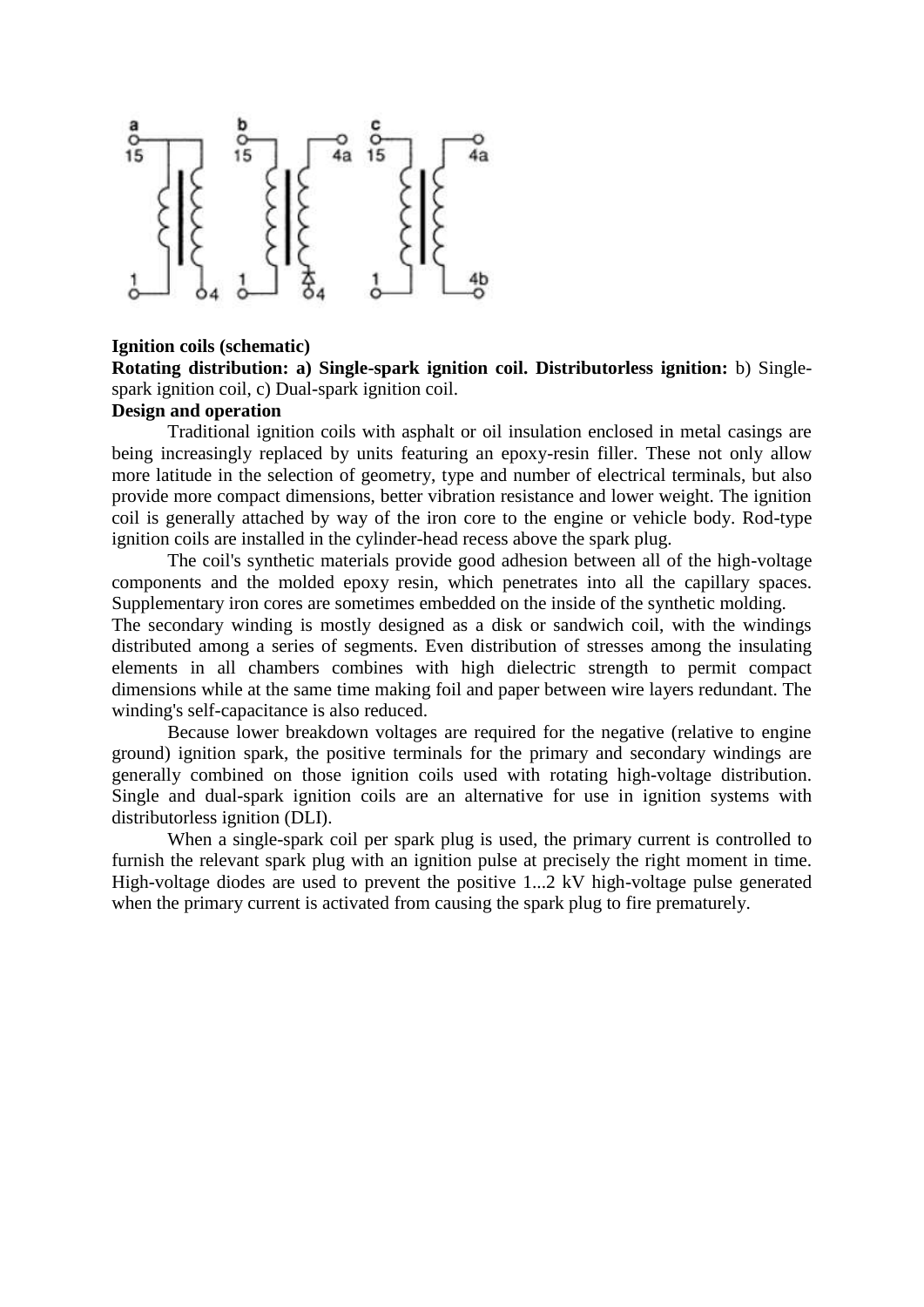

#### **Ignition coils (schematic)**

**Rotating distribution: a) Single-spark ignition coil. Distributorless ignition:** b) Singlespark ignition coil, c) Dual-spark ignition coil.

#### **Design and operation**

Traditional ignition coils with asphalt or oil insulation enclosed in metal casings are being increasingly replaced by units featuring an epoxy-resin filler. These not only allow more latitude in the selection of geometry, type and number of electrical terminals, but also provide more compact dimensions, better vibration resistance and lower weight. The ignition coil is generally attached by way of the iron core to the engine or vehicle body. Rod-type ignition coils are installed in the cylinder-head recess above the spark plug.

The coil's synthetic materials provide good adhesion between all of the high-voltage components and the molded epoxy resin, which penetrates into all the capillary spaces. Supplementary iron cores are sometimes embedded on the inside of the synthetic molding.

The secondary winding is mostly designed as a disk or sandwich coil, with the windings distributed among a series of segments. Even distribution of stresses among the insulating elements in all chambers combines with high dielectric strength to permit compact dimensions while at the same time making foil and paper between wire layers redundant. The winding's self-capacitance is also reduced.

Because lower breakdown voltages are required for the negative (relative to engine ground) ignition spark, the positive terminals for the primary and secondary windings are generally combined on those ignition coils used with rotating high-voltage distribution. Single and dual-spark ignition coils are an alternative for use in ignition systems with distributorless ignition (DLI).

When a single-spark coil per spark plug is used, the primary current is controlled to furnish the relevant spark plug with an ignition pulse at precisely the right moment in time. High-voltage diodes are used to prevent the positive 1...2 kV high-voltage pulse generated when the primary current is activated from causing the spark plug to fire prematurely.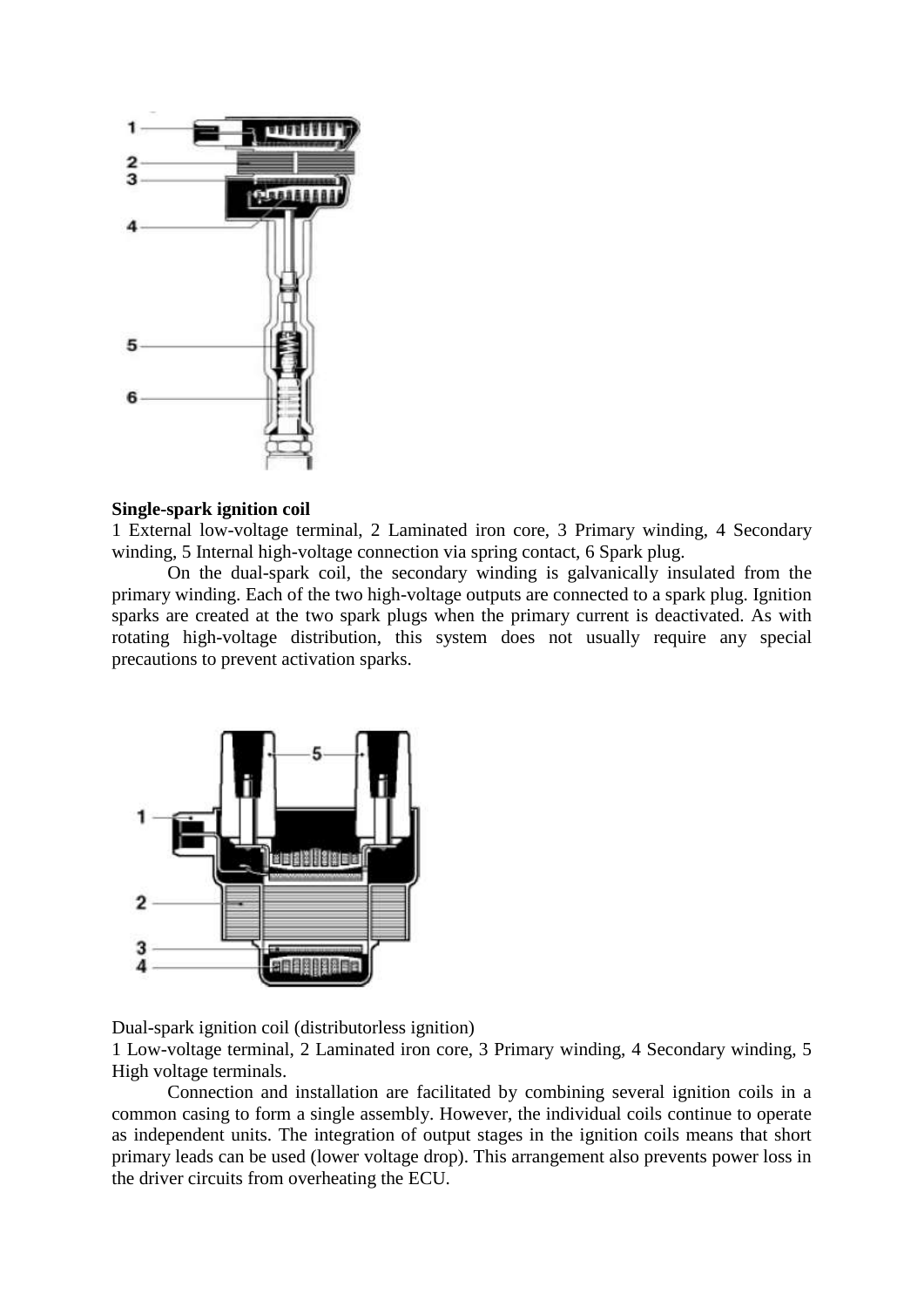

#### **Single-spark ignition coil**

1 External low-voltage terminal, 2 Laminated iron core, 3 Primary winding, 4 Secondary winding, 5 Internal high-voltage connection via spring contact, 6 Spark plug.

On the dual-spark coil, the secondary winding is galvanically insulated from the primary winding. Each of the two high-voltage outputs are connected to a spark plug. Ignition sparks are created at the two spark plugs when the primary current is deactivated. As with rotating high-voltage distribution, this system does not usually require any special precautions to prevent activation sparks.



Dual-spark ignition coil (distributorless ignition)

1 Low-voltage terminal, 2 Laminated iron core, 3 Primary winding, 4 Secondary winding, 5 High voltage terminals.

Connection and installation are facilitated by combining several ignition coils in a common casing to form a single assembly. However, the individual coils continue to operate as independent units. The integration of output stages in the ignition coils means that short primary leads can be used (lower voltage drop). This arrangement also prevents power loss in the driver circuits from overheating the ECU.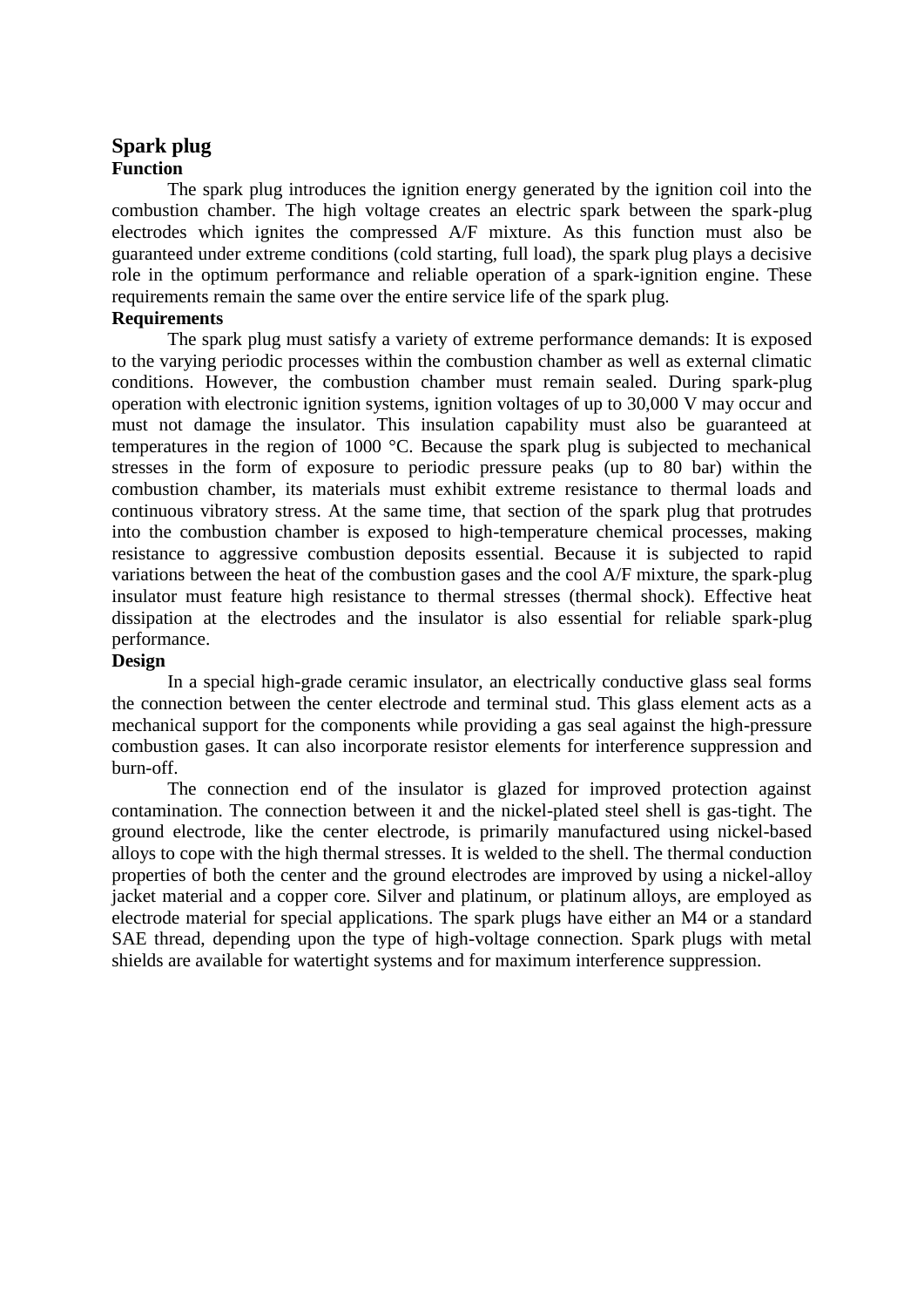## **Spark plug Function**

The spark plug introduces the ignition energy generated by the ignition coil into the combustion chamber. The high voltage creates an electric spark between the spark-plug electrodes which ignites the compressed A/F mixture. As this function must also be guaranteed under extreme conditions (cold starting, full load), the spark plug plays a decisive role in the optimum performance and reliable operation of a spark-ignition engine. These requirements remain the same over the entire service life of the spark plug.

## **Requirements**

The spark plug must satisfy a variety of extreme performance demands: It is exposed to the varying periodic processes within the combustion chamber as well as external climatic conditions. However, the combustion chamber must remain sealed. During spark-plug operation with electronic ignition systems, ignition voltages of up to 30,000 V may occur and must not damage the insulator. This insulation capability must also be guaranteed at temperatures in the region of 1000 °C. Because the spark plug is subjected to mechanical stresses in the form of exposure to periodic pressure peaks (up to 80 bar) within the combustion chamber, its materials must exhibit extreme resistance to thermal loads and continuous vibratory stress. At the same time, that section of the spark plug that protrudes into the combustion chamber is exposed to high-temperature chemical processes, making resistance to aggressive combustion deposits essential. Because it is subjected to rapid variations between the heat of the combustion gases and the cool A/F mixture, the spark-plug insulator must feature high resistance to thermal stresses (thermal shock). Effective heat dissipation at the electrodes and the insulator is also essential for reliable spark-plug performance.

## **Design**

In a special high-grade ceramic insulator, an electrically conductive glass seal forms the connection between the center electrode and terminal stud. This glass element acts as a mechanical support for the components while providing a gas seal against the high-pressure combustion gases. It can also incorporate resistor elements for interference suppression and burn-off.

The connection end of the insulator is glazed for improved protection against contamination. The connection between it and the nickel-plated steel shell is gas-tight. The ground electrode, like the center electrode, is primarily manufactured using nickel-based alloys to cope with the high thermal stresses. It is welded to the shell. The thermal conduction properties of both the center and the ground electrodes are improved by using a nickel-alloy jacket material and a copper core. Silver and platinum, or platinum alloys, are employed as electrode material for special applications. The spark plugs have either an M4 or a standard SAE thread, depending upon the type of high-voltage connection. Spark plugs with metal shields are available for watertight systems and for maximum interference suppression.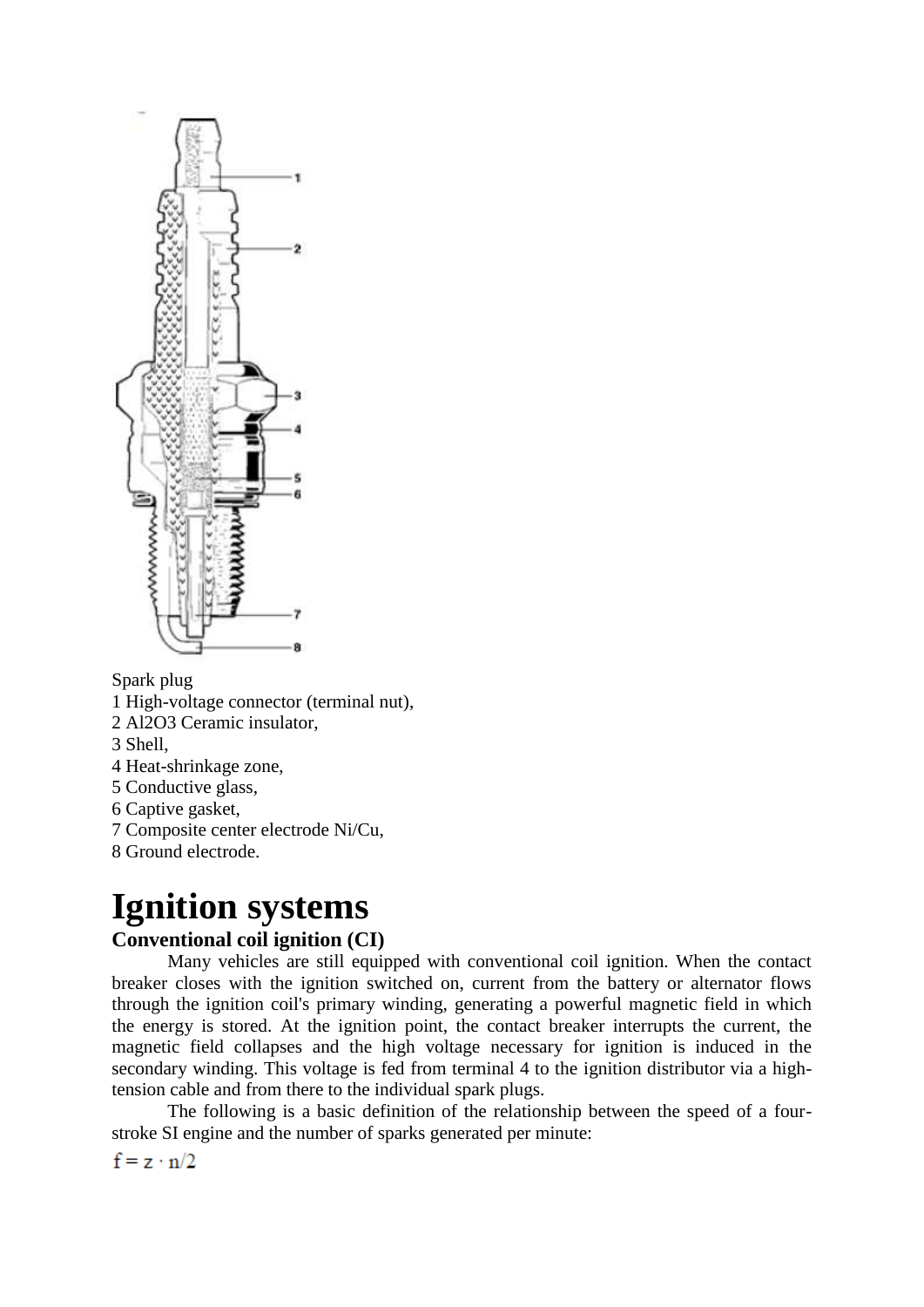

Spark plug

1 High-voltage connector (terminal nut),

2 Al2O3 Ceramic insulator,

3 Shell,

4 Heat-shrinkage zone,

5 Conductive glass,

6 Captive gasket,

7 Composite center electrode Ni/Cu,

8 Ground electrode.

# **Ignition systems**

## **Conventional coil ignition (CI)**

Many vehicles are still equipped with conventional coil ignition. When the contact breaker closes with the ignition switched on, current from the battery or alternator flows through the ignition coil's primary winding, generating a powerful magnetic field in which the energy is stored. At the ignition point, the contact breaker interrupts the current, the magnetic field collapses and the high voltage necessary for ignition is induced in the secondary winding. This voltage is fed from terminal 4 to the ignition distributor via a hightension cable and from there to the individual spark plugs.

The following is a basic definition of the relationship between the speed of a fourstroke SI engine and the number of sparks generated per minute:

 $f = z \cdot n/2$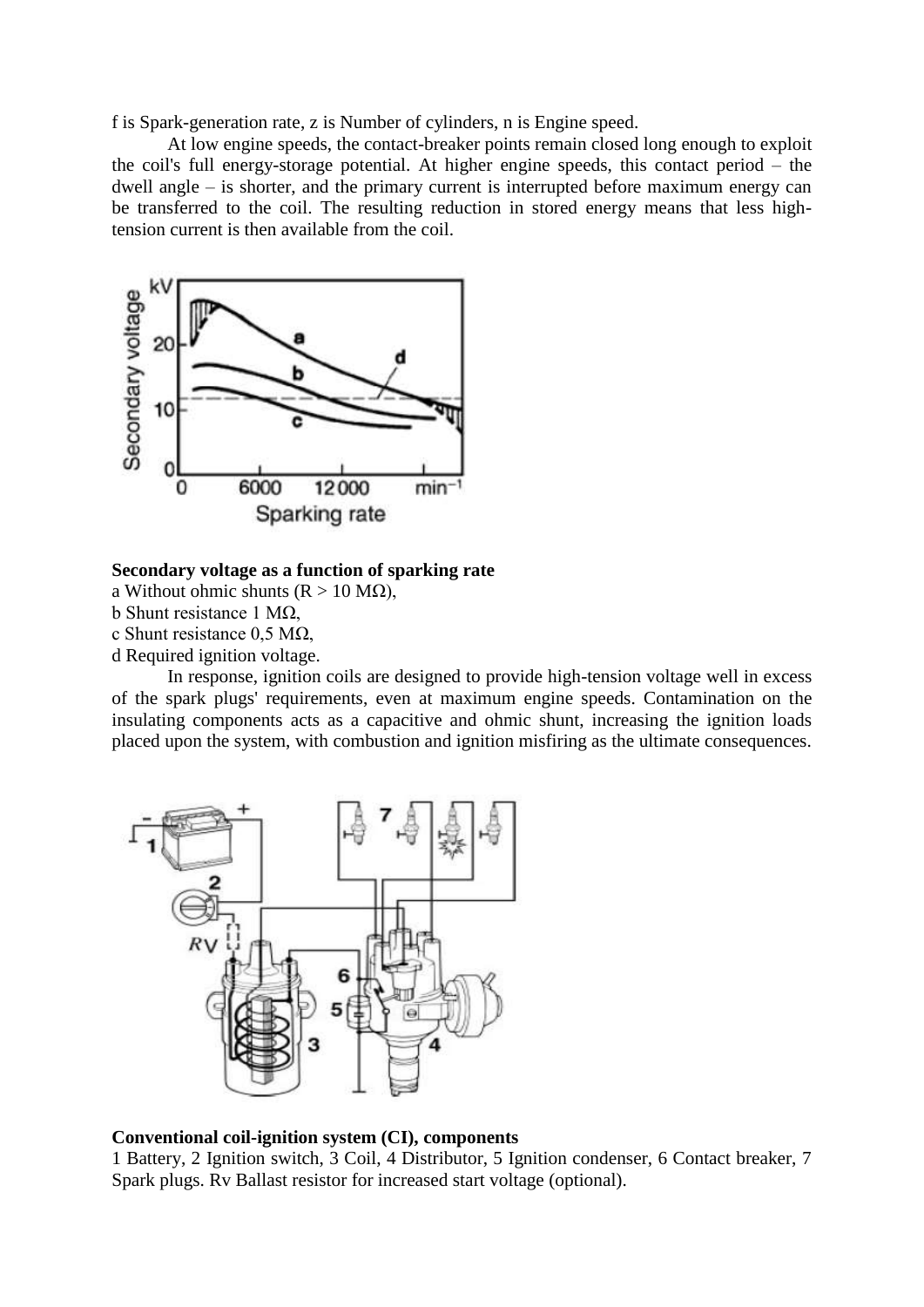f is Spark-generation rate, z is Number of cylinders, n is Engine speed.

At low engine speeds, the contact-breaker points remain closed long enough to exploit the coil's full energy-storage potential. At higher engine speeds, this contact period – the dwell angle – is shorter, and the primary current is interrupted before maximum energy can be transferred to the coil. The resulting reduction in stored energy means that less hightension current is then available from the coil.



#### **Secondary voltage as a function of sparking rate**

a Without ohmic shunts  $(R > 10 M\Omega)$ ,

b Shunt resistance 1 MΩ,

c Shunt resistance 0,5 MΩ,

d Required ignition voltage.

In response, ignition coils are designed to provide high-tension voltage well in excess of the spark plugs' requirements, even at maximum engine speeds. Contamination on the insulating components acts as a capacitive and ohmic shunt, increasing the ignition loads placed upon the system, with combustion and ignition misfiring as the ultimate consequences.



#### **Conventional coil-ignition system (CI), components**

1 Battery, 2 Ignition switch, 3 Coil, 4 Distributor, 5 Ignition condenser, 6 Contact breaker, 7 Spark plugs. Rv Ballast resistor for increased start voltage (optional).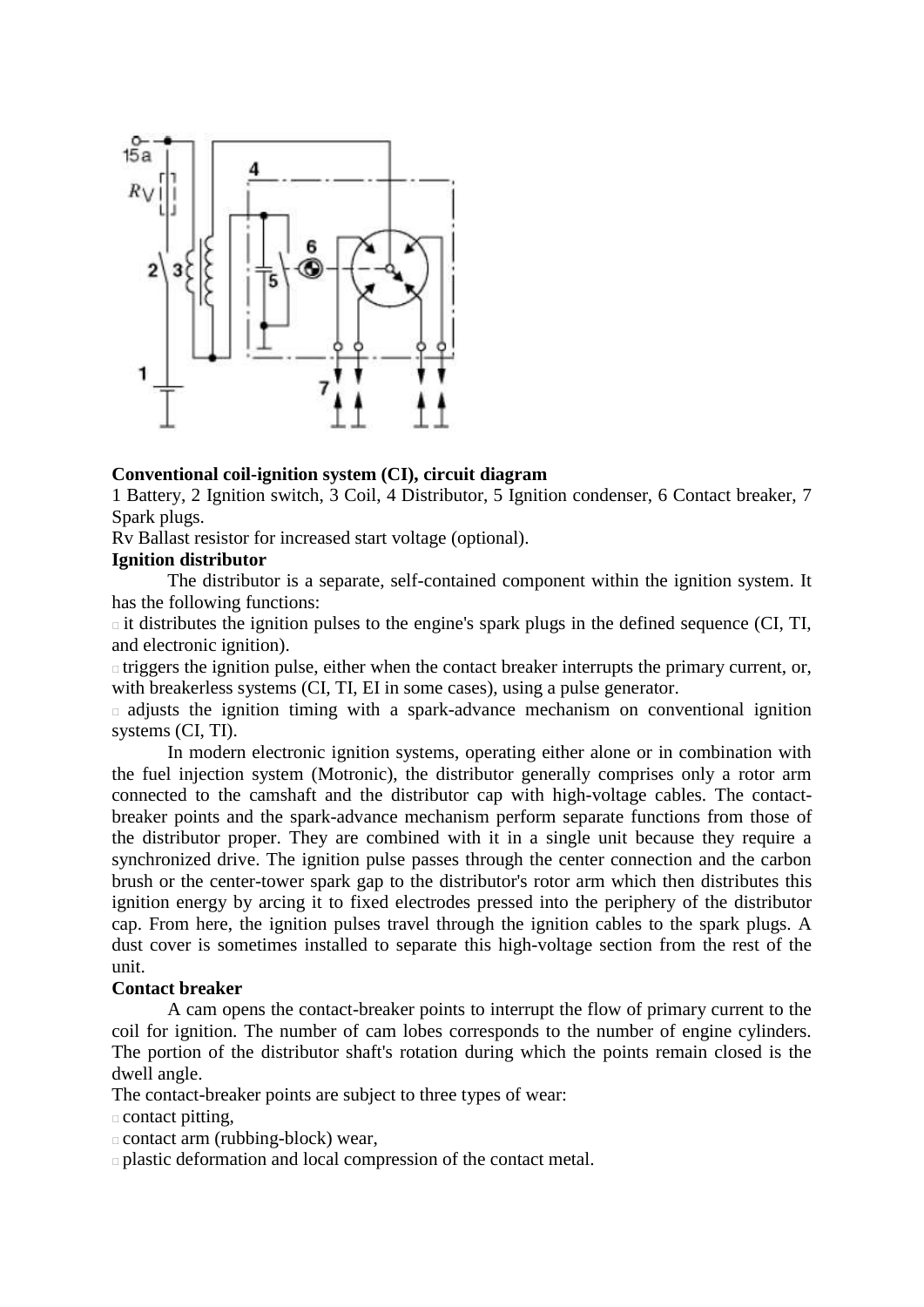

## **Conventional coil-ignition system (CI), circuit diagram**

1 Battery, 2 Ignition switch, 3 Coil, 4 Distributor, 5 Ignition condenser, 6 Contact breaker, 7 Spark plugs.

Rv Ballast resistor for increased start voltage (optional).

## **Ignition distributor**

The distributor is a separate, self-contained component within the ignition system. It has the following functions:

 $\Box$  it distributes the ignition pulses to the engine's spark plugs in the defined sequence (CI, TI, and electronic ignition).

 $\Box$  triggers the ignition pulse, either when the contact breaker interrupts the primary current, or, with breakerless systems (CI, TI, EI in some cases), using a pulse generator.

 $\Box$  adjusts the ignition timing with a spark-advance mechanism on conventional ignition systems (CI, TI).

In modern electronic ignition systems, operating either alone or in combination with the fuel injection system (Motronic), the distributor generally comprises only a rotor arm connected to the camshaft and the distributor cap with high-voltage cables. The contactbreaker points and the spark-advance mechanism perform separate functions from those of the distributor proper. They are combined with it in a single unit because they require a synchronized drive. The ignition pulse passes through the center connection and the carbon brush or the center-tower spark gap to the distributor's rotor arm which then distributes this ignition energy by arcing it to fixed electrodes pressed into the periphery of the distributor cap. From here, the ignition pulses travel through the ignition cables to the spark plugs. A dust cover is sometimes installed to separate this high-voltage section from the rest of the unit.

## **Contact breaker**

A cam opens the contact-breaker points to interrupt the flow of primary current to the coil for ignition. The number of cam lobes corresponds to the number of engine cylinders. The portion of the distributor shaft's rotation during which the points remain closed is the dwell angle.

The contact-breaker points are subject to three types of wear:

 $\Box$  contact pitting,

- $\Box$  contact arm (rubbing-block) wear,
- plastic deformation and local compression of the contact metal.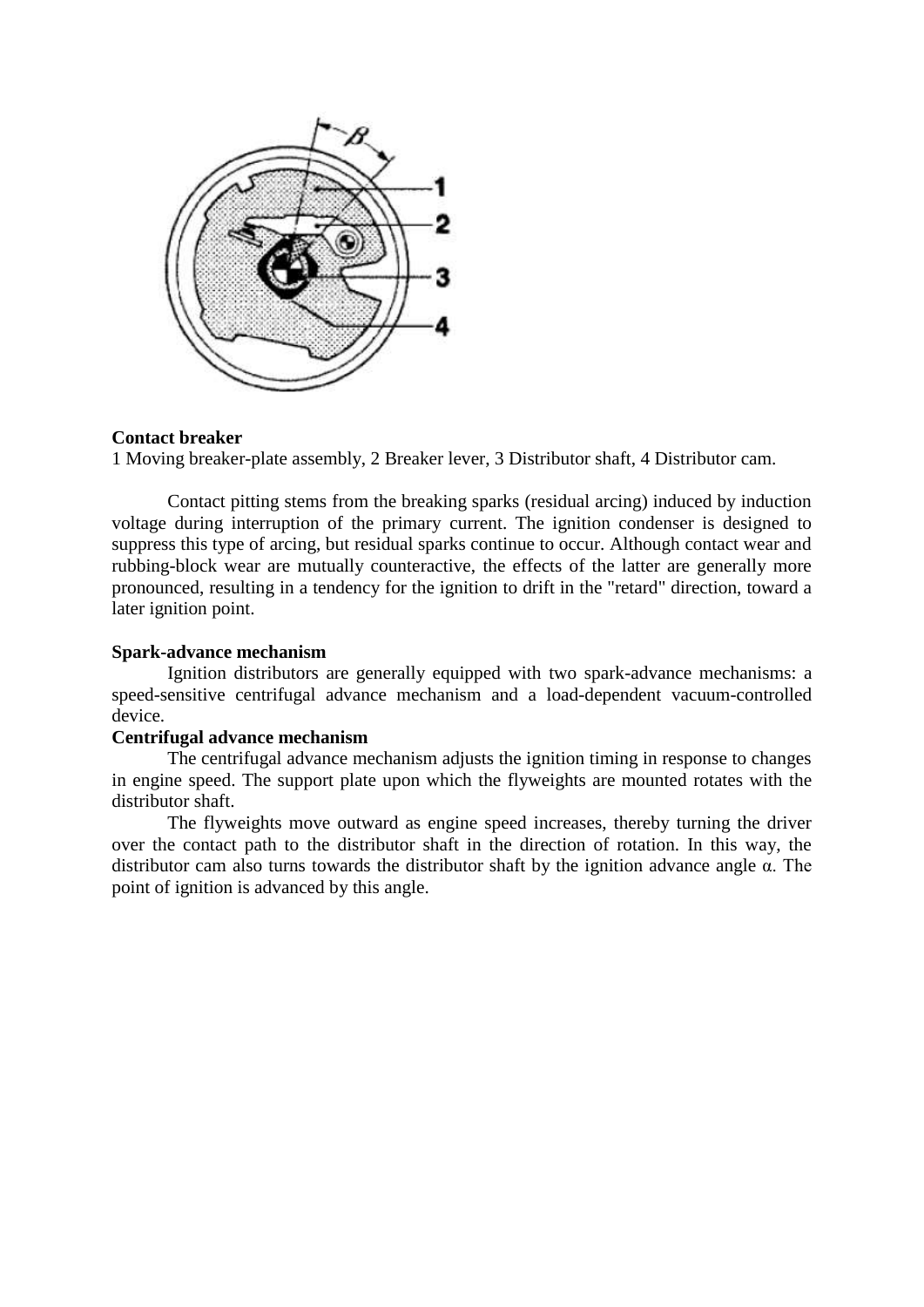

#### **Contact breaker**

1 Moving breaker-plate assembly, 2 Breaker lever, 3 Distributor shaft, 4 Distributor cam.

Contact pitting stems from the breaking sparks (residual arcing) induced by induction voltage during interruption of the primary current. The ignition condenser is designed to suppress this type of arcing, but residual sparks continue to occur. Although contact wear and rubbing-block wear are mutually counteractive, the effects of the latter are generally more pronounced, resulting in a tendency for the ignition to drift in the "retard" direction, toward a later ignition point.

#### **Spark-advance mechanism**

Ignition distributors are generally equipped with two spark-advance mechanisms: a speed-sensitive centrifugal advance mechanism and a load-dependent vacuum-controlled device.

#### **Centrifugal advance mechanism**

The centrifugal advance mechanism adjusts the ignition timing in response to changes in engine speed. The support plate upon which the flyweights are mounted rotates with the distributor shaft.

The flyweights move outward as engine speed increases, thereby turning the driver over the contact path to the distributor shaft in the direction of rotation. In this way, the distributor cam also turns towards the distributor shaft by the ignition advance angle α. The point of ignition is advanced by this angle.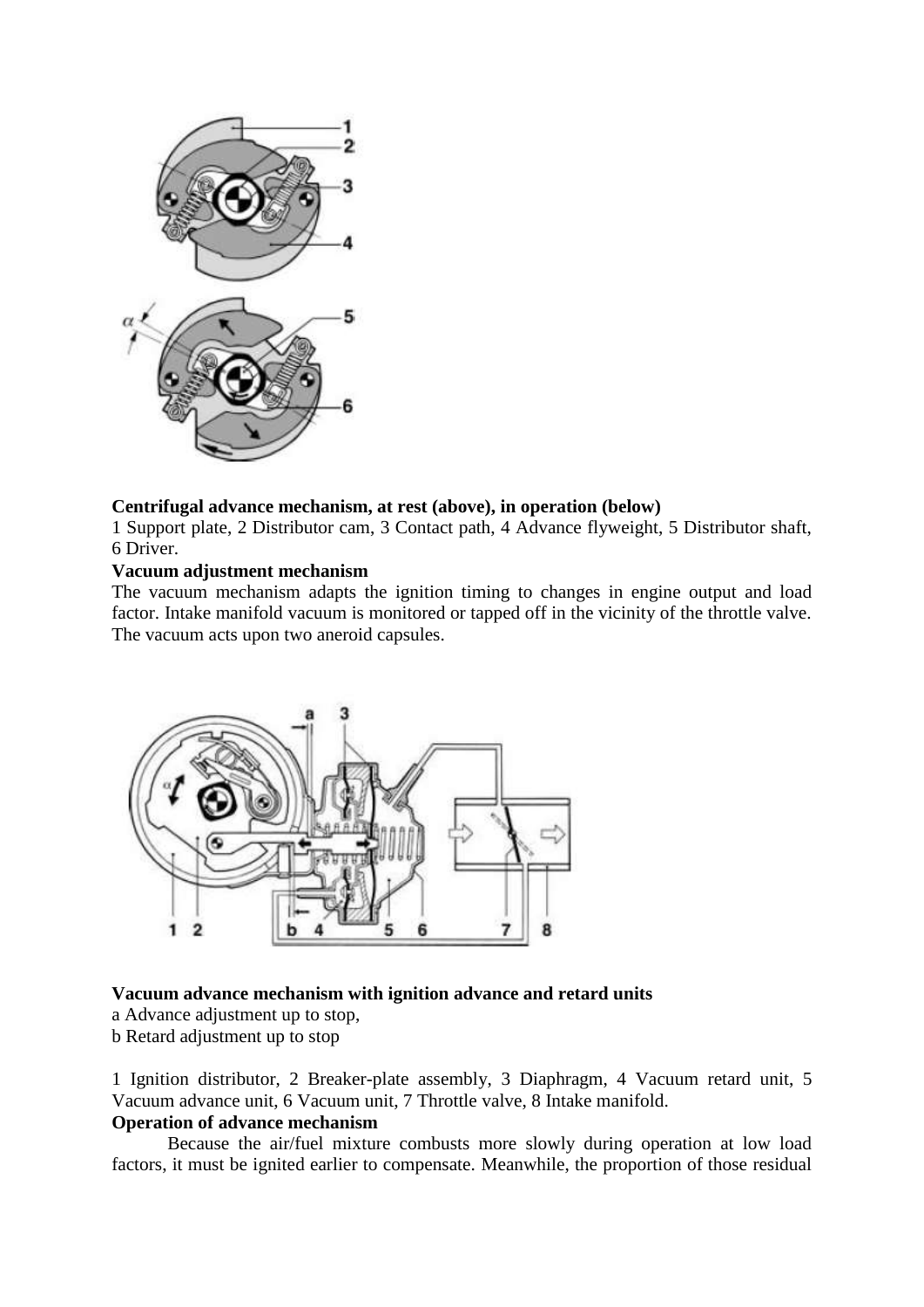

## **Centrifugal advance mechanism, at rest (above), in operation (below)**

1 Support plate, 2 Distributor cam, 3 Contact path, 4 Advance flyweight, 5 Distributor shaft, 6 Driver.

## **Vacuum adjustment mechanism**

The vacuum mechanism adapts the ignition timing to changes in engine output and load factor. Intake manifold vacuum is monitored or tapped off in the vicinity of the throttle valve. The vacuum acts upon two aneroid capsules.



## **Vacuum advance mechanism with ignition advance and retard units**

- a Advance adjustment up to stop,
- b Retard adjustment up to stop

1 Ignition distributor, 2 Breaker-plate assembly, 3 Diaphragm, 4 Vacuum retard unit, 5 Vacuum advance unit, 6 Vacuum unit, 7 Throttle valve, 8 Intake manifold.

## **Operation of advance mechanism**

Because the air/fuel mixture combusts more slowly during operation at low load factors, it must be ignited earlier to compensate. Meanwhile, the proportion of those residual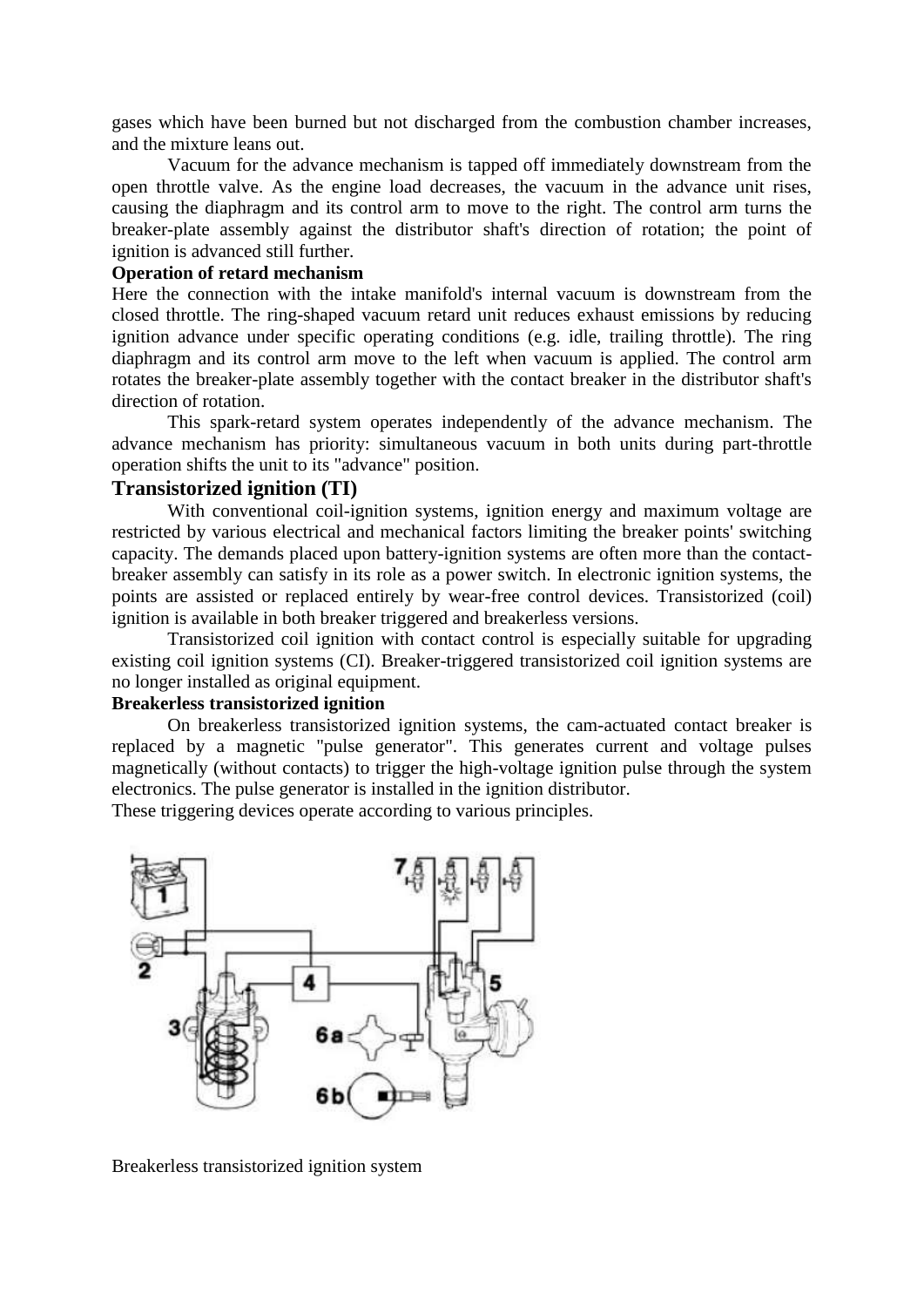gases which have been burned but not discharged from the combustion chamber increases, and the mixture leans out.

Vacuum for the advance mechanism is tapped off immediately downstream from the open throttle valve. As the engine load decreases, the vacuum in the advance unit rises, causing the diaphragm and its control arm to move to the right. The control arm turns the breaker-plate assembly against the distributor shaft's direction of rotation; the point of ignition is advanced still further.

#### **Operation of retard mechanism**

Here the connection with the intake manifold's internal vacuum is downstream from the closed throttle. The ring-shaped vacuum retard unit reduces exhaust emissions by reducing ignition advance under specific operating conditions (e.g. idle, trailing throttle). The ring diaphragm and its control arm move to the left when vacuum is applied. The control arm rotates the breaker-plate assembly together with the contact breaker in the distributor shaft's direction of rotation.

This spark-retard system operates independently of the advance mechanism. The advance mechanism has priority: simultaneous vacuum in both units during part-throttle operation shifts the unit to its "advance" position.

#### **Transistorized ignition (TI)**

With conventional coil-ignition systems, ignition energy and maximum voltage are restricted by various electrical and mechanical factors limiting the breaker points' switching capacity. The demands placed upon battery-ignition systems are often more than the contactbreaker assembly can satisfy in its role as a power switch. In electronic ignition systems, the points are assisted or replaced entirely by wear-free control devices. Transistorized (coil) ignition is available in both breaker triggered and breakerless versions.

Transistorized coil ignition with contact control is especially suitable for upgrading existing coil ignition systems (CI). Breaker-triggered transistorized coil ignition systems are no longer installed as original equipment.

## **Breakerless transistorized ignition**

On breakerless transistorized ignition systems, the cam-actuated contact breaker is replaced by a magnetic "pulse generator". This generates current and voltage pulses magnetically (without contacts) to trigger the high-voltage ignition pulse through the system electronics. The pulse generator is installed in the ignition distributor.

These triggering devices operate according to various principles.



Breakerless transistorized ignition system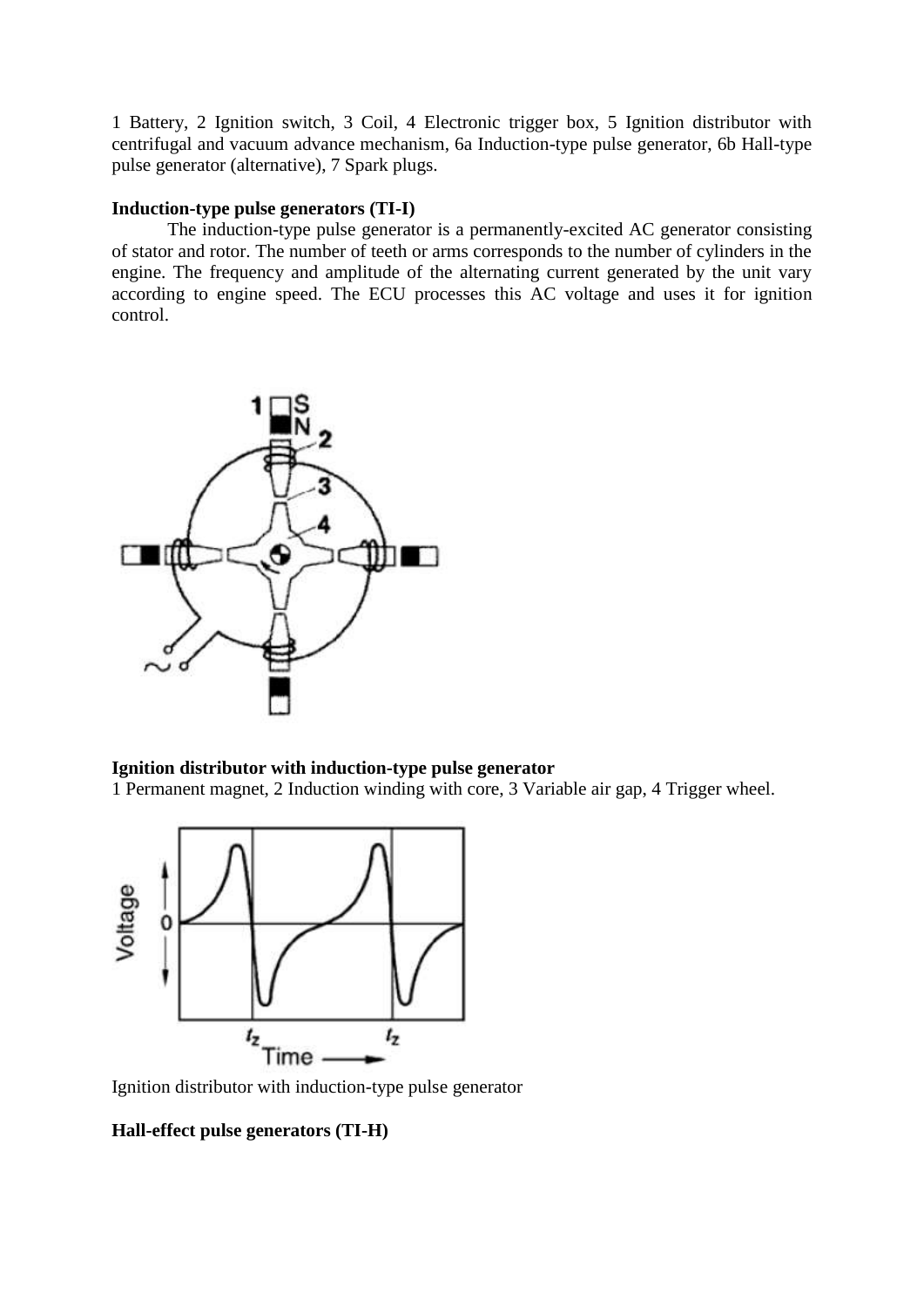1 Battery, 2 Ignition switch, 3 Coil, 4 Electronic trigger box, 5 Ignition distributor with centrifugal and vacuum advance mechanism, 6a Induction-type pulse generator, 6b Hall-type pulse generator (alternative), 7 Spark plugs.

#### **Induction-type pulse generators (TI-I)**

The induction-type pulse generator is a permanently-excited AC generator consisting of stator and rotor. The number of teeth or arms corresponds to the number of cylinders in the engine. The frequency and amplitude of the alternating current generated by the unit vary according to engine speed. The ECU processes this AC voltage and uses it for ignition control.



## **Ignition distributor with induction-type pulse generator**

1 Permanent magnet, 2 Induction winding with core, 3 Variable air gap, 4 Trigger wheel.



Ignition distributor with induction-type pulse generator

## **Hall-effect pulse generators (TI-H)**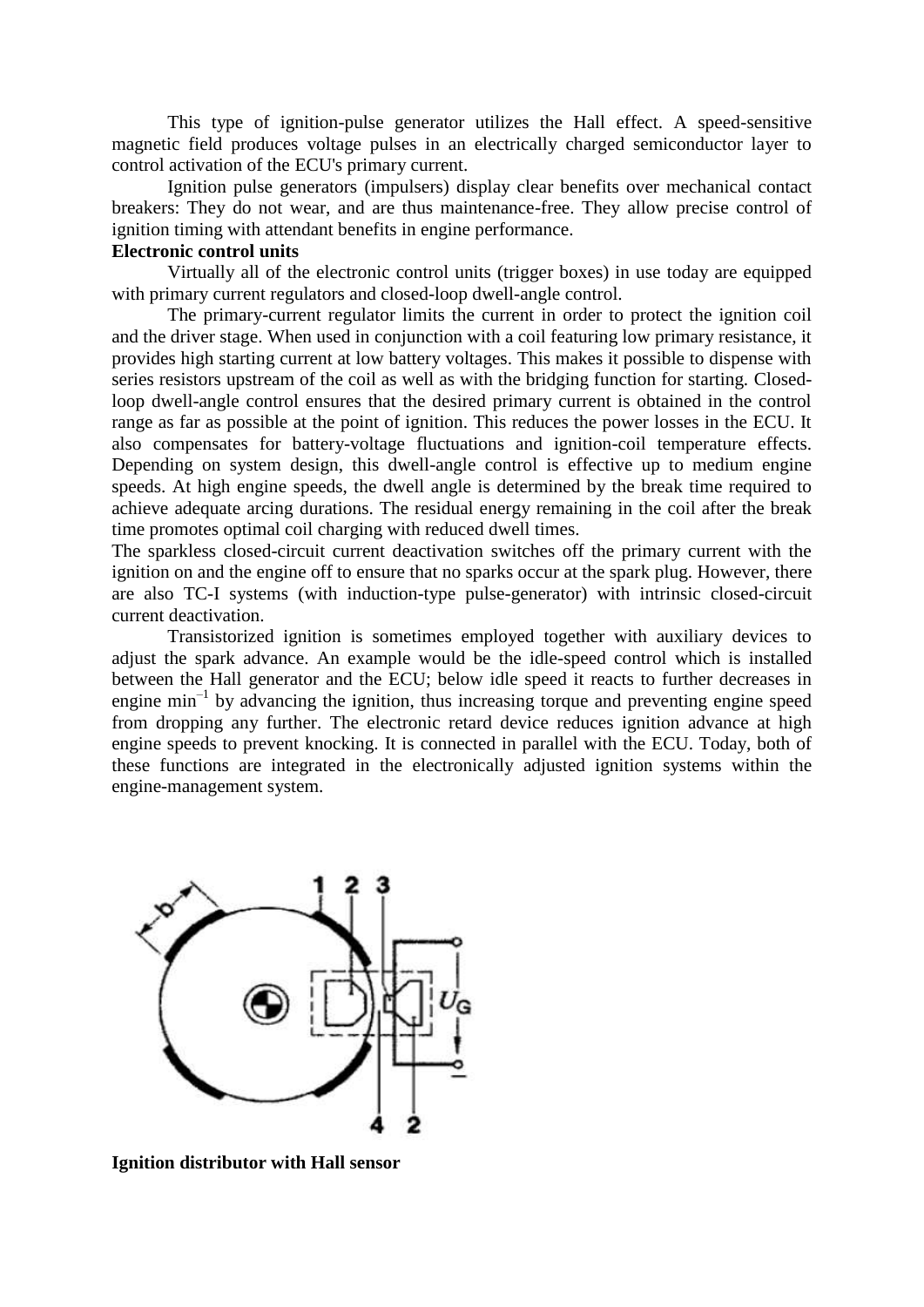This type of ignition-pulse generator utilizes the Hall effect. A speed-sensitive magnetic field produces voltage pulses in an electrically charged semiconductor layer to control activation of the ECU's primary current.

Ignition pulse generators (impulsers) display clear benefits over mechanical contact breakers: They do not wear, and are thus maintenance-free. They allow precise control of ignition timing with attendant benefits in engine performance.

## **Electronic control units**

Virtually all of the electronic control units (trigger boxes) in use today are equipped with primary current regulators and closed-loop dwell-angle control.

The primary-current regulator limits the current in order to protect the ignition coil and the driver stage. When used in conjunction with a coil featuring low primary resistance, it provides high starting current at low battery voltages. This makes it possible to dispense with series resistors upstream of the coil as well as with the bridging function for starting. Closedloop dwell-angle control ensures that the desired primary current is obtained in the control range as far as possible at the point of ignition. This reduces the power losses in the ECU. It also compensates for battery-voltage fluctuations and ignition-coil temperature effects. Depending on system design, this dwell-angle control is effective up to medium engine speeds. At high engine speeds, the dwell angle is determined by the break time required to achieve adequate arcing durations. The residual energy remaining in the coil after the break time promotes optimal coil charging with reduced dwell times.

The sparkless closed-circuit current deactivation switches off the primary current with the ignition on and the engine off to ensure that no sparks occur at the spark plug. However, there are also TC-I systems (with induction-type pulse-generator) with intrinsic closed-circuit current deactivation.

Transistorized ignition is sometimes employed together with auxiliary devices to adjust the spark advance. An example would be the idle-speed control which is installed between the Hall generator and the ECU; below idle speed it reacts to further decreases in engine  $min^{-1}$  by advancing the ignition, thus increasing torque and preventing engine speed from dropping any further. The electronic retard device reduces ignition advance at high engine speeds to prevent knocking. It is connected in parallel with the ECU. Today, both of these functions are integrated in the electronically adjusted ignition systems within the engine-management system.



**Ignition distributor with Hall sensor**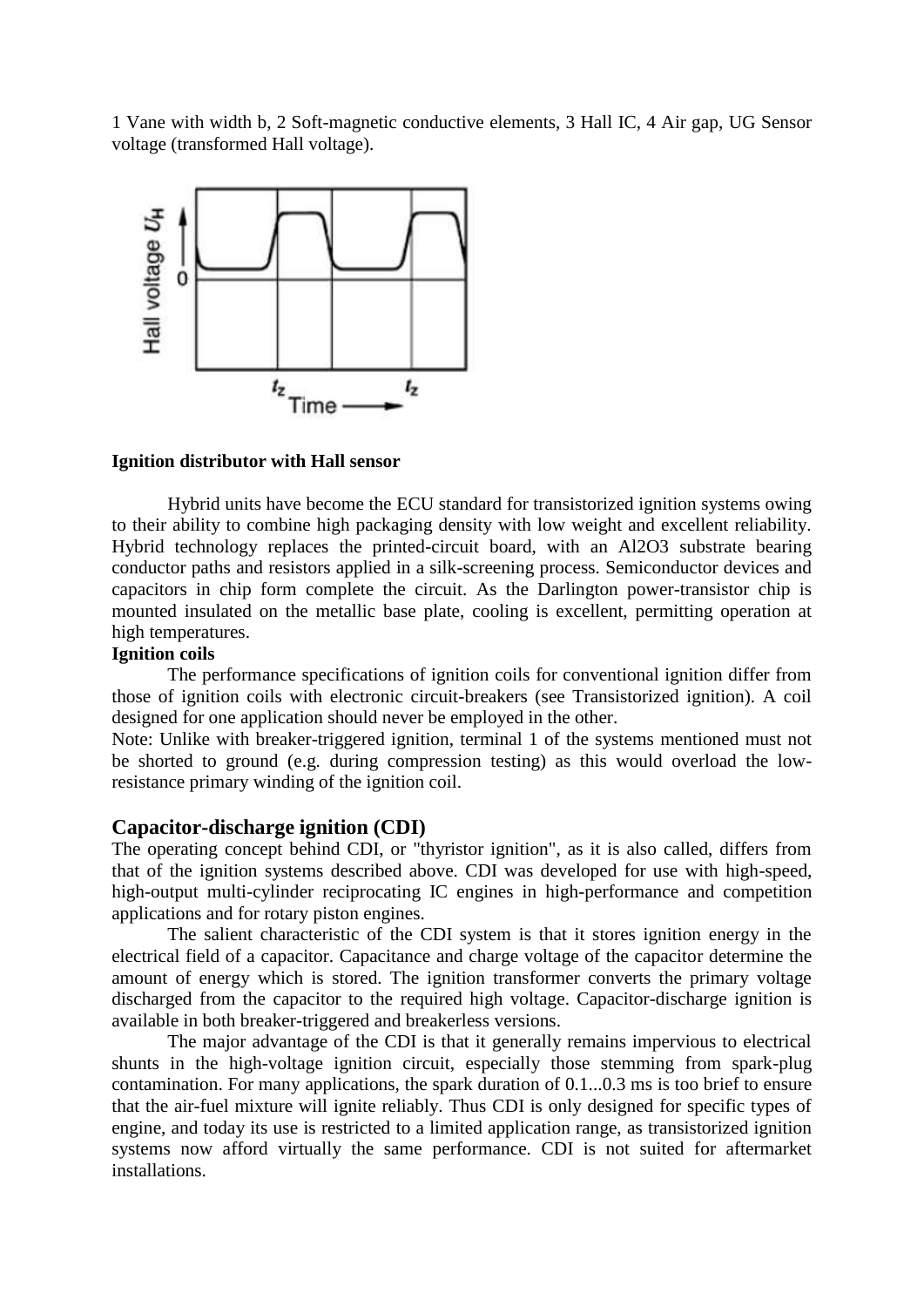1 Vane with width b, 2 Soft-magnetic conductive elements, 3 Hall IC, 4 Air gap, UG Sensor voltage (transformed Hall voltage).



#### **Ignition distributor with Hall sensor**

Hybrid units have become the ECU standard for transistorized ignition systems owing to their ability to combine high packaging density with low weight and excellent reliability. Hybrid technology replaces the printed-circuit board, with an Al2O3 substrate bearing conductor paths and resistors applied in a silk-screening process. Semiconductor devices and capacitors in chip form complete the circuit. As the Darlington power-transistor chip is mounted insulated on the metallic base plate, cooling is excellent, permitting operation at high temperatures.

#### **Ignition coils**

The performance specifications of ignition coils for conventional ignition differ from those of ignition coils with electronic circuit-breakers (see Transistorized ignition). A coil designed for one application should never be employed in the other.

Note: Unlike with breaker-triggered ignition, terminal 1 of the systems mentioned must not be shorted to ground (e.g. during compression testing) as this would overload the lowresistance primary winding of the ignition coil.

#### **Capacitor-discharge ignition (CDI)**

The operating concept behind CDI, or "thyristor ignition", as it is also called, differs from that of the ignition systems described above. CDI was developed for use with high-speed, high-output multi-cylinder reciprocating IC engines in high-performance and competition applications and for rotary piston engines.

The salient characteristic of the CDI system is that it stores ignition energy in the electrical field of a capacitor. Capacitance and charge voltage of the capacitor determine the amount of energy which is stored. The ignition transformer converts the primary voltage discharged from the capacitor to the required high voltage. Capacitor-discharge ignition is available in both breaker-triggered and breakerless versions.

The major advantage of the CDI is that it generally remains impervious to electrical shunts in the high-voltage ignition circuit, especially those stemming from spark-plug contamination. For many applications, the spark duration of 0.1...0.3 ms is too brief to ensure that the air-fuel mixture will ignite reliably. Thus CDI is only designed for specific types of engine, and today its use is restricted to a limited application range, as transistorized ignition systems now afford virtually the same performance. CDI is not suited for aftermarket installations.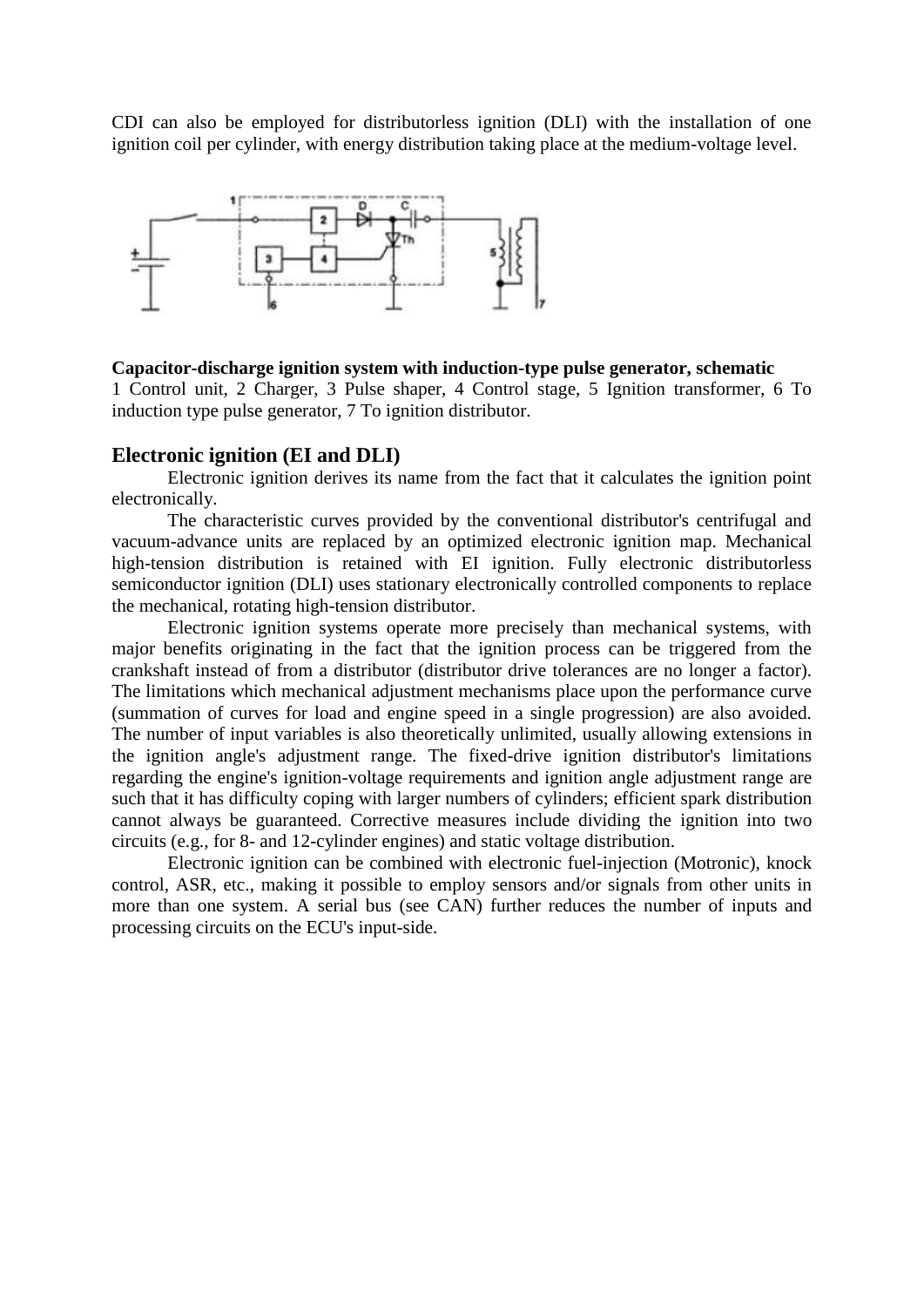CDI can also be employed for distributorless ignition (DLI) with the installation of one ignition coil per cylinder, with energy distribution taking place at the medium-voltage level.



## **Capacitor-discharge ignition system with induction-type pulse generator, schematic**

1 Control unit, 2 Charger, 3 Pulse shaper, 4 Control stage, 5 Ignition transformer, 6 To induction type pulse generator, 7 To ignition distributor.

#### **Electronic ignition (EI and DLI)**

Electronic ignition derives its name from the fact that it calculates the ignition point electronically.

The characteristic curves provided by the conventional distributor's centrifugal and vacuum-advance units are replaced by an optimized electronic ignition map. Mechanical high-tension distribution is retained with EI ignition. Fully electronic distributorless semiconductor ignition (DLI) uses stationary electronically controlled components to replace the mechanical, rotating high-tension distributor.

Electronic ignition systems operate more precisely than mechanical systems, with major benefits originating in the fact that the ignition process can be triggered from the crankshaft instead of from a distributor (distributor drive tolerances are no longer a factor). The limitations which mechanical adjustment mechanisms place upon the performance curve (summation of curves for load and engine speed in a single progression) are also avoided. The number of input variables is also theoretically unlimited, usually allowing extensions in the ignition angle's adjustment range. The fixed-drive ignition distributor's limitations regarding the engine's ignition-voltage requirements and ignition angle adjustment range are such that it has difficulty coping with larger numbers of cylinders; efficient spark distribution cannot always be guaranteed. Corrective measures include dividing the ignition into two circuits (e.g., for 8- and 12-cylinder engines) and static voltage distribution.

Electronic ignition can be combined with electronic fuel-injection (Motronic), knock control, ASR, etc., making it possible to employ sensors and/or signals from other units in more than one system. A serial bus (see CAN) further reduces the number of inputs and processing circuits on the ECU's input-side.